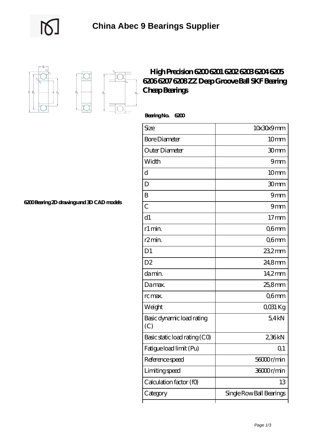

 $D_a$ 

'n.

## **[High Precision 6200 6201 6202 6203 6204 6205](https://uttorshuri.net/6202du-bearing/high-precision-6200-6201-6202-6203-6204-6205-6206-6207-6208-zz-deep-groove-ball-skf-bearing-cheap-bearings.html) [6206 6207 6208 ZZ Deep Groove Ball SKF Bearing](https://uttorshuri.net/6202du-bearing/high-precision-6200-6201-6202-6203-6204-6205-6206-6207-6208-zz-deep-groove-ball-skf-bearing-cheap-bearings.html) [Cheap Bearings](https://uttorshuri.net/6202du-bearing/high-precision-6200-6201-6202-6203-6204-6205-6206-6207-6208-zz-deep-groove-ball-skf-bearing-cheap-bearings.html)**

 **Bearing No. 6200**

ľ

| Size                             | 10x30x9mm                |
|----------------------------------|--------------------------|
| <b>Bore Diameter</b>             | 10 <sub>mm</sub>         |
| Outer Diameter                   | 30mm                     |
| Width                            | 9mm                      |
| d                                | 10 <sub>mm</sub>         |
| D                                | 30mm                     |
| B                                | 9mm                      |
| C                                | 9mm                      |
| d1                               | $17 \text{mm}$           |
| r1 min.                          | Q6mm                     |
| r2min.                           | Q6mm                     |
| D <sub>1</sub>                   | 23,2mm                   |
| D <sub>2</sub>                   | 24,8mm                   |
| da min.                          | $14.2$ mm                |
| Damax.                           | 25,8mm                   |
| rc max.                          | Q6mm                     |
| Weight                           | QO31 Kg                  |
| Basic dynamic load rating<br>(C) | 54kN                     |
| Basic static load rating (CO)    | 236kN                    |
| Fatigue load limit (Pu)          | Q <sub>1</sub>           |
| Reference speed                  | 56000r/min               |
| Limiting speed                   | 36000r/min               |
| Calculation factor (f0)          | 13                       |
| Category                         | Single Row Ball Bearings |

┑

**[6200 Bearing 2D drawings and 3D CAD models](https://uttorshuri.net/pic-526208.html)**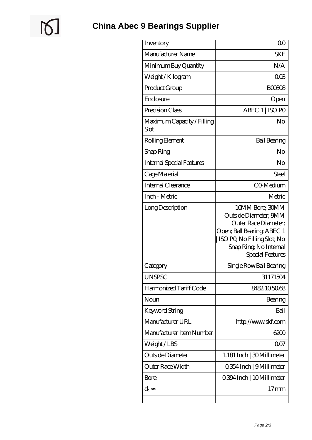$\mathbb{Q}$ 

| Inventory                          | 0 <sup>0</sup>                                                                                                                                                              |
|------------------------------------|-----------------------------------------------------------------------------------------------------------------------------------------------------------------------------|
| Manufacturer Name                  | <b>SKF</b>                                                                                                                                                                  |
| Minimum Buy Quantity               | N/A                                                                                                                                                                         |
| Weight / Kilogram                  | 003                                                                                                                                                                         |
| Product Group                      | <b>BOO308</b>                                                                                                                                                               |
| Enclosure                          | Open                                                                                                                                                                        |
| Precision Class                    | ABEC 1   ISO PO                                                                                                                                                             |
| Maximum Capacity / Filling<br>Slot | No                                                                                                                                                                          |
| Rolling Element                    | <b>Ball Bearing</b>                                                                                                                                                         |
| Snap Ring                          | No                                                                                                                                                                          |
| <b>Internal Special Features</b>   | No                                                                                                                                                                          |
| Cage Material                      | Steel                                                                                                                                                                       |
| Internal Clearance                 | CO-Medium                                                                                                                                                                   |
| Inch - Metric                      | Metric                                                                                                                                                                      |
| Long Description                   | 10MM Bore; 30MM<br>Outside Diameter; 9MM<br>Outer Race Diameter;<br>Open; Ball Bearing; ABEC 1<br>ISO PO, No Filling Slot; No<br>Snap Ring, No Internal<br>Special Features |
| Category                           | Single Row Ball Bearing                                                                                                                                                     |
| <b>UNSPSC</b>                      | 31171504                                                                                                                                                                    |
| Harmonized Tariff Code             | 8482105068                                                                                                                                                                  |
| Noun                               | Bearing                                                                                                                                                                     |
| Keyword String                     | Ball                                                                                                                                                                        |
| Manufacturer URL                   | http://www.skf.com                                                                                                                                                          |
| Manufacturer Item Number           | 6200                                                                                                                                                                        |
| Weight / LBS                       | 007                                                                                                                                                                         |
| Outside Diameter                   | 1.181 Inch   30 Millimeter                                                                                                                                                  |
| Outer Race Width                   | 0.354 Inch   9 Millimeter                                                                                                                                                   |
| Bore                               | 0.394 Inch   10 Millimeter                                                                                                                                                  |
| $d_1$                              | $17 \text{mm}$                                                                                                                                                              |